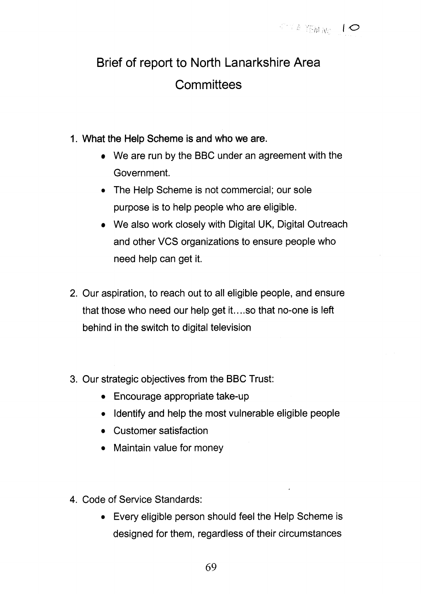## Brief of report to North Lanarkshire Area **Committees**

- **1.** What the Help Scheme is and who we are.
	- We are run by the BBC under an agreement with the Government.
	- The Help Scheme is not commercial; our sole purpose is to help people who are eligible.
	- We also work closely with Digital UK, Digital Outreach and other VCS organizations to ensure people who need help can get it.
- 2. Our aspiration, to reach out to all eligible people, and ensure that those who need our help get it.. ..so that no-one is left behind in the switch to digital television
- 3. Our strategic objectives from the BBC Trust:
	- Encourage appropriate take-up
	- *0* Identify and help the most vulnerable eligible people
	- Customer satisfaction
	- Maintain value for money
- 4. Code of Service Standards:
	- *<sup>0</sup>*Every eligible person should feel the Help Scheme is designed for them, regardless of their circumstances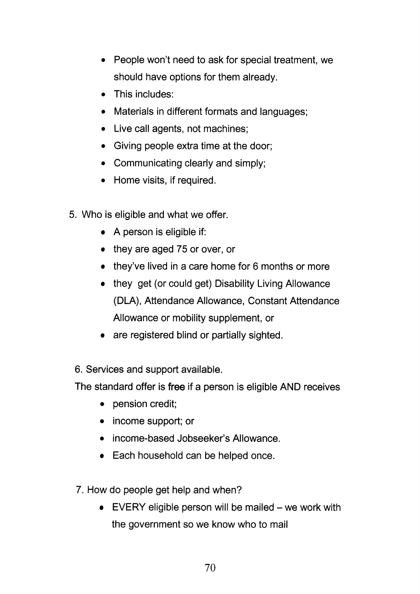- People won't need to ask for special treatment, we should have options for them already.
- This includes:
- Materials in different formats and languages;
- Live call agents, not machines;
- Giving people extra time at the door;
- Communicating clearly and simply;
- Home visits, if required.
- 5. Who is eligible and what we offer.
	- A person is eligible if:
	- they are aged 75 or over, or
	- they've lived in a care home for 6 months or more
	- they get (or could get) Disability Living Allowance (DLA), Attendance Allowance, Constant Attendance Allowance or mobility supplement, or
	- are registered blind or partially sighted.
	- 6. Services and support available.

The standard offer is **free** if a person is eligible AND receives

- pension credit;
- income support; or
- income-based Jobseeker's Allowance.
- Each household can be helped once.
- 7. How do people get help and when?
	- e VERY eligible person will be mailed we work with the government so we know who to mail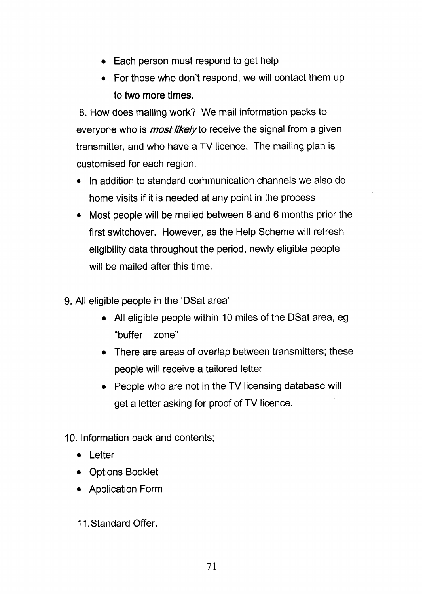- Each person must respond to get help
- *0* For those who don't respond, we will contact them up to **two** more times.

8. How does mailing work? We mail information packs to everyone who is *most likely* to receive the signal from a given transmitter, and who have a TV licence. The mailing plan is customised for each region.

- In addition to standard communication channels we also do home visits if it is needed at any point in the process
- Most people will be mailed between 8 and 6 months prior the first switchover. However, as the Help Scheme will refresh eligibility data throughout the period, newly eligible people will be mailed after this time.
- 9. All eligible people in the 'DSat area'
	- All eligible people within 10 miles of the DSat area, eg "buffer zone''
	- There are areas of overlap between transmitters; these people will receive a tailored letter
	- People who are not in the TV licensing database will get a letter asking for proof of TV licence.

10. Information pack and contents;

- Letter
- Options Booklet
- Application Form
- 11. Standard Offer.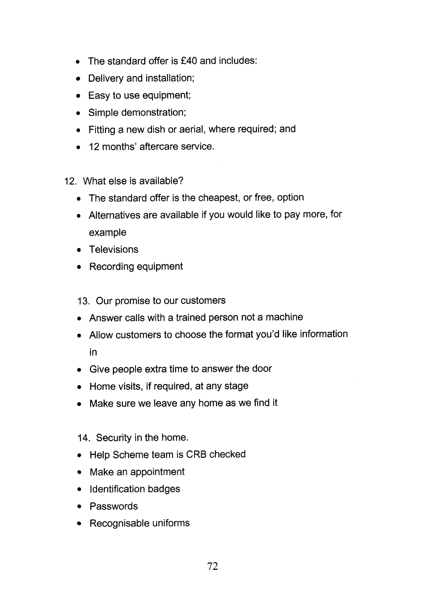- *<sup>0</sup>*The standard offer is E40 and includes:
- Delivery and installation;
- Easy to use equipment;
- Simple demonstration;
- Fitting a new dish or aerial, where required; and
- *<sup>0</sup>*12 months' aftercare service.
- 12. What else is available?
	- The standard offer is the cheapest, or free, option
	- *<sup>0</sup>*Alternatives are available if you would like to pay more, for example
	- **Televisions**
	- Recording equipment
	- **13.** Our promise to our customers
	- Answer calls with a trained person not a machine
	- Allow customers to choose the format you'd like information in
	- Give people extra time to answer the door
	- Home visits, if required, at any stage
	- Make sure we leave any home as we find it

## 14. Security in the home.

- Help Scheme team is CRB checked
- $\bullet$ Make an appointment
- Identification badges
- Passwords
- Recognisable uniforms